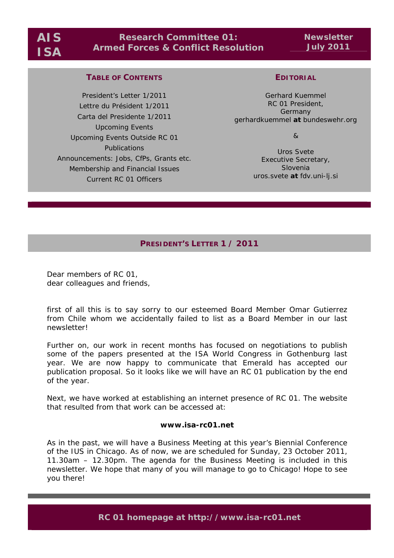# **Research Committee 01: Armed Forces & Conflict Resolution**

**Newsletter July 2011** 

## **TABLE OF CONTENTS**

President's Letter 1/2011 Lettre du Président 1/2011 Carta del Presidente 1/2011 Upcoming Events Upcoming Events Outside RC 01 Publications Announcements: Jobs, CfPs, Grants etc. Membership and Financial Issues Current RC 01 Officers

## **EDITORIAL**

Gerhard Kuemmel RC 01 President, **Germany** gerhardkuemmel *at* bundeswehr.org

&

Uros Svete Executive Secretary, **Slovenia** uros.svete *at* fdv.uni-lj.si

# **PRESIDENT'S LETTER 1 / 2011**

Dear members of RC 01, dear colleagues and friends,

first of all this is to say sorry to our esteemed Board Member Omar Gutierrez from Chile whom we accidentally failed to list as a Board Member in our last newsletter!

Further on, our work in recent months has focused on negotiations to publish some of the papers presented at the ISA World Congress in Gothenburg last year. We are now happy to communicate that Emerald has accepted our publication proposal. So it looks like we will have an RC 01 publication by the end of the year.

Next, we have worked at establishing an internet presence of RC 01. The website that resulted from that work can be accessed at:

#### **www.isa-rc01.net**

As in the past, we will have a Business Meeting at this year's Biennial Conference of the IUS in Chicago. As of now, we are scheduled for Sunday, 23 October 2011, 11.30am – 12.30pm. The agenda for the Business Meeting is included in this newsletter. We hope that many of you will manage to go to Chicago! Hope to see you there!

**RC 01 homepage at http://www.isa-rc01.net**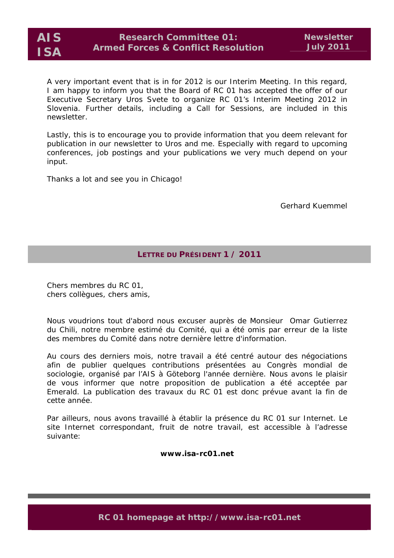A very important event that is in for 2012 is our Interim Meeting. In this regard, I am happy to inform you that the Board of RC 01 has accepted the offer of our Executive Secretary Uros Svete to organize RC 01's Interim Meeting 2012 in Slovenia. Further details, including a Call for Sessions, are included in this newsletter.

Lastly, this is to encourage you to provide information that you deem relevant for publication in our newsletter to Uros and me. Especially with regard to upcoming conferences, job postings and your publications we very much depend on your input.

Thanks a lot and see you in Chicago!

Gerhard Kuemmel

## **LETTRE DU PRÉSIDENT 1 / 2011**

Chers membres du RC 01, chers collègues, chers amis,

Nous voudrions tout d'abord nous excuser auprès de Monsieur Omar Gutierrez du Chili, notre membre estimé du Comité, qui a été omis par erreur de la liste des membres du Comité dans notre dernière lettre d'information.

Au cours des derniers mois, notre travail a été centré autour des négociations afin de publier quelques contributions présentées au Congrès mondial de sociologie, organisé par l'AIS à Göteborg l'année dernière. Nous avons le plaisir de vous informer que notre proposition de publication a été acceptée par Emerald. La publication des travaux du RC 01 est donc prévue avant la fin de cette année.

Par ailleurs, nous avons travaillé à établir la présence du RC 01 sur Internet. Le site Internet correspondant, fruit de notre travail, est accessible à l'adresse suivante:

**www.isa-rc01.net** 

**RC 01 homepage at http://www.isa-rc01.net**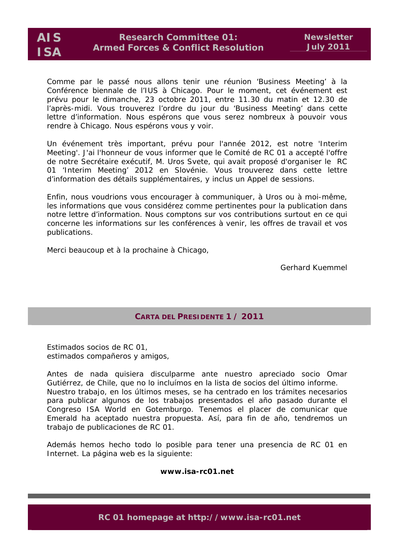

Comme par le passé nous allons tenir une réunion 'Business Meeting' à la Conférence biennale de l'IUS à Chicago. Pour le moment, cet événement est prévu pour le dimanche, 23 octobre 2011, entre 11.30 du matin et 12.30 de l'après-midi. Vous trouverez l'ordre du jour du 'Business Meeting' dans cette lettre d'information. Nous espérons que vous serez nombreux à pouvoir vous rendre à Chicago. Nous espérons vous y voir.

Un événement très important, prévu pour l'année 2012, est notre 'Interim Meeting'. J'ai l'honneur de vous informer que le Comité de RC 01 a accepté l'offre de notre Secrétaire exécutif, M. Uros Svete, qui avait proposé d'organiser le RC 01 'Interim Meeting' 2012 en Slovénie. Vous trouverez dans cette lettre d'information des détails supplémentaires, y inclus un Appel de sessions.

Enfin, nous voudrions vous encourager à communiquer, à Uros ou à moi-même, les informations que vous considérez comme pertinentes pour la publication dans notre lettre d'information. Nous comptons sur vos contributions surtout en ce qui concerne les informations sur les conférences à venir, les offres de travail et vos publications.

Merci beaucoup et à la prochaine à Chicago,

Gerhard Kuemmel

# **CARTA DEL PRESIDENTE 1 / 2011**

Estimados socios de RC 01, estimados compañeros y amigos,

Antes de nada quisiera disculparme ante nuestro apreciado socio Omar Gutiérrez, de Chile, que no lo incluímos en la lista de socios del último informe. Nuestro trabajo, en los últimos meses, se ha centrado en los trámites necesarios para publicar algunos de los trabajos presentados el año pasado durante el Congreso ISA World en Gotemburgo. Tenemos el placer de comunicar que Emerald ha aceptado nuestra propuesta. Así, para fin de año, tendremos un trabajo de publicaciones de RC 01.

Además hemos hecho todo lo posible para tener una presencia de RC 01 en Internet. La página web es la siguiente:

#### **www.isa-rc01.net**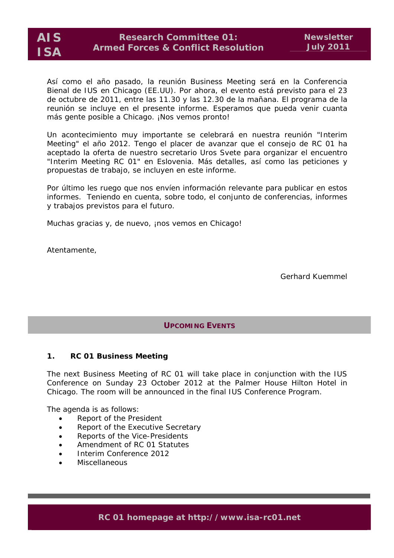

Así como el año pasado, la reunión Business Meeting será en la Conferencia Bienal de IUS en Chicago (EE.UU). Por ahora, el evento está previsto para el 23 de octubre de 2011, entre las 11.30 y las 12.30 de la mañana. El programa de la reunión se incluye en el presente informe. Esperamos que pueda venir cuanta más gente posible a Chicago. ¡Nos vemos pronto!

Un acontecimiento muy importante se celebrará en nuestra reunión "Interim Meeting" el año 2012. Tengo el placer de avanzar que el consejo de RC 01 ha aceptado la oferta de nuestro secretario Uros Svete para organizar el encuentro "Interim Meeting RC 01" en Eslovenia. Más detalles, así como las peticiones y propuestas de trabajo, se incluyen en este informe.

Por último les ruego que nos envíen información relevante para publicar en estos informes. Teniendo en cuenta, sobre todo, el conjunto de conferencias, informes y trabajos previstos para el futuro.

Muchas gracias y, de nuevo, ¡nos vemos en Chicago!

Atentamente,

Gerhard Kuemmel

**UPCOMING EVENTS**

### **1. RC 01 Business Meeting**

The next Business Meeting of RC 01 will take place in conjunction with the IUS Conference on Sunday 23 October 2012 at the Palmer House Hilton Hotel in Chicago. The room will be announced in the final IUS Conference Program.

The agenda is as follows:

- Report of the President
- Report of the Executive Secretary
- Reports of the Vice-Presidents
- Amendment of RC 01 Statutes
- Interim Conference 2012
- **Miscellaneous**

**RC 01 homepage at http://www.isa-rc01.net**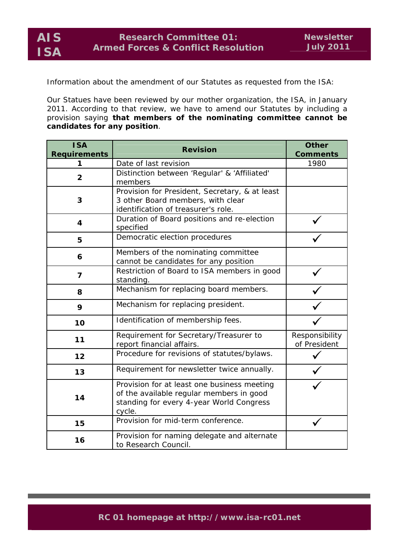Information about the amendment of our Statutes as requested from the ISA:

Our Statues have been reviewed by our mother organization, the ISA, in January 2011. According to that review, we have to amend our Statutes by including a provision saying **that members of the nominating committee cannot be candidates for any position**.

| <b>ISA</b>          | <b>Revision</b>                                                                                                                               | <b>Other</b>                   |
|---------------------|-----------------------------------------------------------------------------------------------------------------------------------------------|--------------------------------|
| <b>Requirements</b> |                                                                                                                                               | <b>Comments</b>                |
| 1                   | Date of last revision                                                                                                                         | 1980                           |
| $\overline{2}$      | Distinction between 'Regular' & 'Affiliated'<br>members                                                                                       |                                |
| 3                   | Provision for President, Secretary, & at least<br>3 other Board members, with clear<br>identification of treasurer's role.                    |                                |
| 4                   | Duration of Board positions and re-election<br>specified                                                                                      |                                |
| 5                   | Democratic election procedures                                                                                                                |                                |
| 6                   | Members of the nominating committee<br>cannot be candidates for any position                                                                  |                                |
| 7                   | Restriction of Board to ISA members in good<br>standing.                                                                                      |                                |
| 8                   | Mechanism for replacing board members.                                                                                                        |                                |
| 9                   | Mechanism for replacing president.                                                                                                            |                                |
| 10                  | Identification of membership fees.                                                                                                            |                                |
| 11                  | Requirement for Secretary/Treasurer to<br>report financial affairs.                                                                           | Responsibility<br>of President |
| 12                  | Procedure for revisions of statutes/bylaws.                                                                                                   |                                |
| 13                  | Requirement for newsletter twice annually.                                                                                                    |                                |
| 14                  | Provision for at least one business meeting<br>of the available regular members in good<br>standing for every 4-year World Congress<br>cycle. |                                |
| 15                  | Provision for mid-term conference.                                                                                                            |                                |
| 16                  | Provision for naming delegate and alternate<br>to Research Council.                                                                           |                                |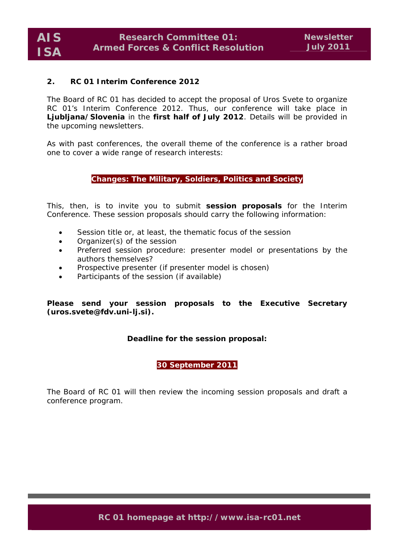#### **2. RC 01 Interim Conference 2012**

The Board of RC 01 has decided to accept the proposal of Uros Svete to organize RC 01's Interim Conference 2012. Thus, our conference will take place in **Ljubljana/Slovenia** in the **first half of July 2012**. Details will be provided in the upcoming newsletters.

As with past conferences, the overall theme of the conference is a rather broad one to cover a wide range of research interests:

#### **Changes: The Military, Soldiers, Politics and Society**

This, then, is to invite you to submit **session proposals** for the Interim Conference. These session proposals should carry the following information:

- Session title or, at least, the thematic focus of the session
- Organizer(s) of the session
- Preferred session procedure: presenter model or presentations by the authors themselves?
- Prospective presenter (if presenter model is chosen)
- Participants of the session (if available)

**Please send your session proposals to the Executive Secretary (uros.svete@fdv.uni-lj.si).** 

### **Deadline for the session proposal:**

**30 September 2011** 

The Board of RC 01 will then review the incoming session proposals and draft a conference program.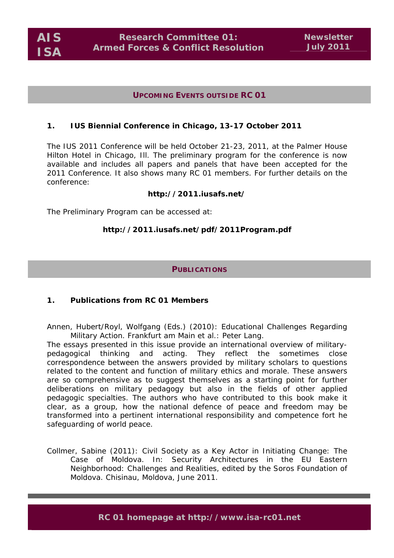**AIS ISA** 

## **UPCOMING EVENTS OUTSIDE RC 01**

## **1. IUS Biennial Conference in Chicago, 13-17 October 2011**

The IUS 2011 Conference will be held October 21-23, 2011, at the Palmer House Hilton Hotel in Chicago, Ill. The preliminary program for the conference is now available and includes all papers and panels that have been accepted for the 2011 Conference. It also shows many RC 01 members. For further details on the conference:

## **http://2011.iusafs.net/**

The Preliminary Program can be accessed at:

## **http://2011.iusafs.net/pdf/2011Program.pdf**

### **PUBLICATIONS**

### **1. Publications from RC 01 Members**

*Annen, Hubert/Royl, Wolfgang (Eds.) (2010): Educational Challenges Regarding Military Action. Frankfurt am Main et al.: Peter Lang.* 

The essays presented in this issue provide an international overview of militarypedagogical thinking and acting. They reflect the sometimes close correspondence between the answers provided by military scholars to questions related to the content and function of military ethics and morale. These answers are so comprehensive as to suggest themselves as a starting point for further deliberations on military pedagogy but also in the fields of other applied pedagogic specialties. The authors who have contributed to this book make it clear, as a group, how the national defence of peace and freedom may be transformed into a pertinent international responsibility and competence fort he safeguarding of world peace.

*Collmer, Sabine (2011): Civil Society as a Key Actor in Initiating Change: The*  Case of Moldova. In: Security Architectures in the EU Eastern *Neighborhood: Challenges and Realities, edited by the Soros Foundation of Moldova. Chisinau, Moldova, June 2011.*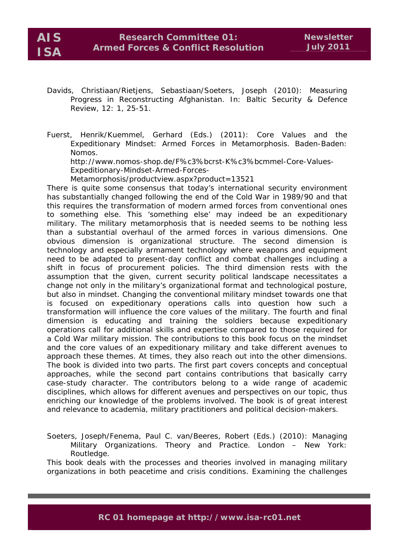*Davids, Christiaan/Rietjens, Sebastiaan/Soeters, Joseph (2010): Measuring Progress in Reconstructing Afghanistan. In: Baltic Security & Defence Review, 12: 1, 25-51.* 

*Fuerst, Henrik/Kuemmel, Gerhard (Eds.) (2011): Core Values and the Expeditionary Mindset: Armed Forces in Metamorphosis. Baden-Baden: Nomos.* 

*http://www.nomos-shop.de/F%c3%bcrst-K%c3%bcmmel-Core-Values-Expeditionary-Mindset-Armed-Forces-*

*Metamorphosis/productview.aspx?product=13521* 

There is quite some consensus that today's international security environment has substantially changed following the end of the Cold War in 1989/90 and that this requires the transformation of modern armed forces from conventional ones to something else. This 'something else' may indeed be an expeditionary military. The military metamorphosis that is needed seems to be nothing less than a substantial overhaul of the armed forces in various dimensions. One obvious dimension is organizational structure. The second dimension is technology and especially armament technology where weapons and equipment need to be adapted to present-day conflict and combat challenges including a shift in focus of procurement policies. The third dimension rests with the assumption that the given, current security political landscape necessitates a change not only in the military's organizational format and technological posture, but also in mindset. Changing the conventional military mindset towards one that is focused on expeditionary operations calls into question how such a transformation will influence the core values of the military. The fourth and final dimension is educating and training the soldiers because expeditionary operations call for additional skills and expertise compared to those required for a Cold War military mission. The contributions to this book focus on the mindset and the core values of an expeditionary military and take different avenues to approach these themes. At times, they also reach out into the other dimensions. The book is divided into two parts. The first part covers concepts and conceptual approaches, while the second part contains contributions that basically carry case-study character. The contributors belong to a wide range of academic disciplines, which allows for different avenues and perspectives on our topic, thus enriching our knowledge of the problems involved. The book is of great interest and relevance to academia, military practitioners and political decision-makers.

*Soeters, Joseph/Fenema, Paul C. van/Beeres, Robert (Eds.) (2010): Managing Military Organizations. Theory and Practice. London – New York: Routledge.*

This book deals with the processes and theories involved in managing military organizations in both peacetime and crisis conditions. Examining the challenges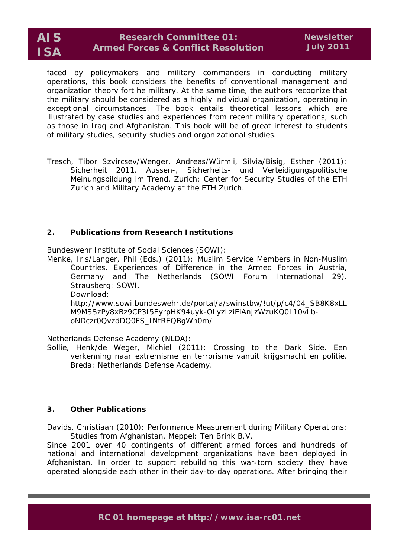# **Research Committee 01: Armed Forces & Conflict Resolution**

faced by policymakers and military commanders in conducting military operations, this book considers the benefits of conventional management and organization theory fort he military. At the same time, the authors recognize that the military should be considered as a highly individual organization, operating in exceptional circumstances. The book entails theoretical lessons which are illustrated by case studies and experiences from recent military operations, such as those in Iraq and Afghanistan. This book will be of great interest to students of military studies, security studies and organizational studies.

*Tresch, Tibor Szvircsev/Wenger, Andreas/Würmli, Silvia/Bisig, Esther (2011): Sicherheit 2011. Aussen-, Sicherheits- und Verteidigungspolitische Meinungsbildung im Trend. Zurich: Center for Security Studies of the ETH Zurich and Military Academy at the ETH Zurich.* 

## **2. Publications from Research Institutions**

*Bundeswehr Institute of Social Sciences (SOWI):* 

Menke, Iris/Langer, Phil (Eds.) (2011): Muslim Service Members in Non-Muslim Countries. Experiences of Difference in the Armed Forces in Austria, Germany and The Netherlands (SOWI Forum International 29). Strausberg: SOWI.

Download:

http://www.sowi.bundeswehr.de/portal/a/swinstbw/!ut/p/c4/04\_SB8K8xLL M9MSSzPy8xBz9CP3I5EyrpHK94uyk-OLyzLziEiAnJzWzuKQ0L10vLboNDczr0QvzdDQ0FS\_INtREQBgWh0m/

*Netherlands Defense Academy (NLDA):* 

Sollie, Henk/de Weger, Michiel (2011): Crossing to the Dark Side. Een verkenning naar extremisme en terrorisme vanuit krijgsmacht en politie. Breda: Netherlands Defense Academy.

## **3. Other Publications**

*Davids, Christiaan (2010): Performance Measurement during Military Operations: Studies from Afghanistan. Meppel: Ten Brink B.V.* 

Since 2001 over 40 contingents of different armed forces and hundreds of national and international development organizations have been deployed in Afghanistan. In order to support rebuilding this war-torn society they have operated alongside each other in their day-to-day operations. After bringing their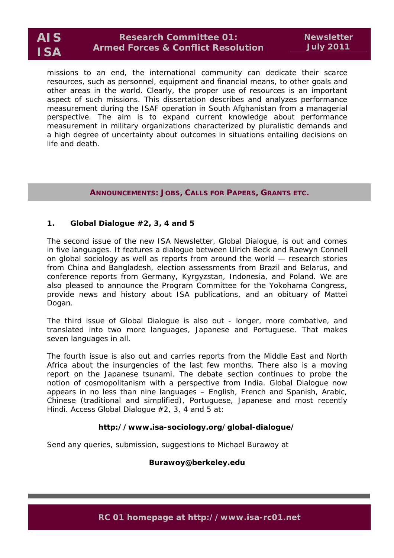# **Research Committee 01: Armed Forces & Conflict Resolution**

missions to an end, the international community can dedicate their scarce resources, such as personnel, equipment and financial means, to other goals and other areas in the world. Clearly, the proper use of resources is an important aspect of such missions. This dissertation describes and analyzes performance measurement during the ISAF operation in South Afghanistan from a managerial perspective. The aim is to expand current knowledge about performance measurement in military organizations characterized by pluralistic demands and a high degree of uncertainty about outcomes in situations entailing decisions on life and death.

## **ANNOUNCEMENTS: JOBS, CALLS FOR PAPERS, GRANTS ETC.**

## **1.** *Global Dialogue #2, 3, 4 and 5*

The second issue of the new ISA Newsletter, *Global Dialogue*, is out and comes in five languages. It features a dialogue between Ulrich Beck and Raewyn Connell on global sociology as well as reports from around the world — research stories from China and Bangladesh, election assessments from Brazil and Belarus, and conference reports from Germany, Kyrgyzstan, Indonesia, and Poland. We are also pleased to announce the Program Committee for the Yokohama Congress, provide news and history about ISA publications, and an obituary of Mattei Dogan.

The third issue of *Global Dialogue* is also out - longer, more combative, and translated into two more languages, Japanese and Portuguese. That makes seven languages in all.

The fourth issue is also out and carries reports from the Middle East and North Africa about the insurgencies of the last few months. There also is a moving report on the Japanese tsunami. The debate section continues to probe the notion of cosmopolitanism with a perspective from India. *Global Dialogue* now appears in no less than nine languages – English, French and Spanish, Arabic, Chinese (traditional and simplified), Portuguese, Japanese and most recently Hindi. Access *Global Dialogue* #2, 3, 4 and 5 at:

### **http://www.isa-sociology.org/global-dialogue/**

Send any queries, submission, suggestions to Michael Burawoy at

### **Burawoy@berkeley.edu**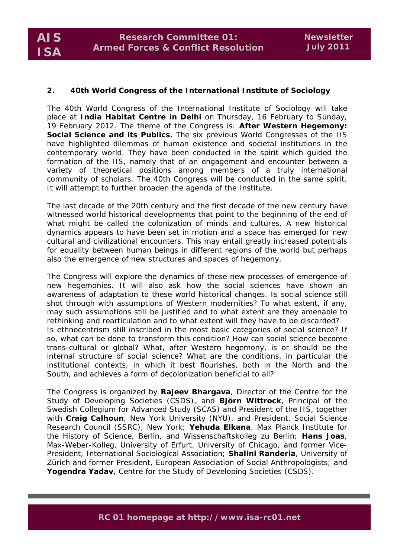### **2.** *40th World Congress of the International Institute of Sociology*

The 40th World Congress of the International Institute of Sociology will take place at **India Habitat Centre in Delhi** on Thursday, 16 February to Sunday, 19 February 2012. The theme of the Congress is: **After Western Hegemony: Social Science and its Publics.** The six previous World Congresses of the IIS have highlighted dilemmas of human existence and societal institutions in the contemporary world. They have been conducted in the spirit which guided the formation of the IIS, namely that of an engagement and encounter between a variety of theoretical positions among members of a truly international community of scholars. The 40th Congress will be conducted in the same spirit. It will attempt to further broaden the agenda of the Institute.

The last decade of the 20th century and the first decade of the new century have witnessed world historical developments that point to the beginning of the end of what might be called the colonization of minds and cultures. A new historical dynamics appears to have been set in motion and a space has emerged for new cultural and civilizational encounters. This may entail greatly increased potentials for equality between human beings in different regions of the world but perhaps also the emergence of new structures and spaces of hegemony.

The Congress will explore the dynamics of these new processes of emergence of new hegemonies. It will also ask how the social sciences have shown an awareness of adaptation to these world historical changes. Is social science still shot through with assumptions of Western modernities? To what extent, if any, may such assumptions still be justified and to what extent are they amenable to rethinking and rearticulation and to what extent will they have to be discarded? Is ethnocentrism still inscribed in the most basic categories of social science? If so, what can be done to transform this condition? How can social science become trans-cultural or global? What, after Western hegemony, is or should be the internal structure of social science? What are the conditions, in particular the institutional contexts, in which it best flourishes, both in the North and the South, and achieves a form of decolonization beneficial to all?

The Congress is organized by *Rajeev Bhargava*, Director of the Centre for the Study of Developing Societies (CSDS), and *Björn Wittrock*, Principal of the Swedish Collegium for Advanced Study (SCAS) and President of the IIS, together with *Craig Calhoun*, New York University (NYU), and President, Social Science Research Council (SSRC), New York; *Yehuda Elkana*, Max Planck Institute for the History of Science, Berlin, and Wissenschaftskolleg zu Berlin; *Hans Joas*, Max-Weber-Kolleg, University of Erfurt, University of Chicago, and former Vice-President, International Sociological Association; *Shalini Randeria*, University of Zürich and former President, European Association of Social Anthropologists; and *Yogendra Yadav*, Centre for the Study of Developing Societies (CSDS).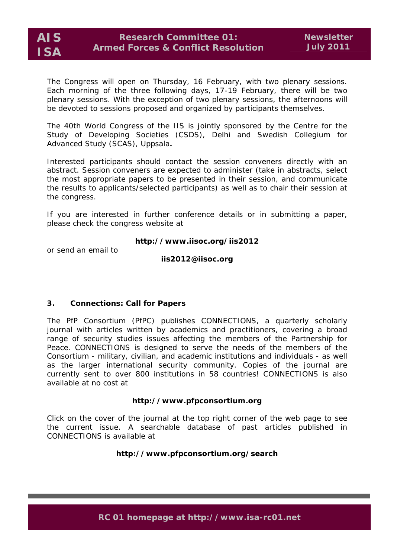

The Congress will open on Thursday, 16 February, with two plenary sessions. Each morning of the three following days, 17-19 February, there will be two plenary sessions. With the exception of two plenary sessions, the afternoons will be devoted to sessions proposed and organized by participants themselves.

The 40th World Congress of the IIS is jointly sponsored by the Centre for the Study of Developing Societies (CSDS), Delhi and Swedish Collegium for Advanced Study (SCAS), Uppsala**.** 

Interested participants should contact the session conveners directly with an abstract. Session conveners are expected to administer (take in abstracts, select the most appropriate papers to be presented in their session, and communicate the results to applicants/selected participants) as well as to chair their session at the congress.

If you are interested in further conference details or in submitting a paper, please check the congress website at

### **http://www.iisoc.org/iis2012**

or send an email to

**iis2012@iisoc.org** 

#### **3.** *Connections: Call for Papers*

The PfP Consortium (PfPC) publishes CONNECTIONS, a quarterly scholarly journal with articles written by academics and practitioners, covering a broad range of security studies issues affecting the members of the Partnership for Peace. CONNECTIONS is designed to serve the needs of the members of the Consortium - military, civilian, and academic institutions and individuals - as well as the larger international security community. Copies of the journal are currently sent to over 800 institutions in 58 countries! CONNECTIONS is also available at no cost at

#### **http://www.pfpconsortium.org**

Click on the cover of the journal at the top right corner of the web page to see the current issue. A searchable database of past articles published in CONNECTIONS is available at

#### **http://www.pfpconsortium.org/search**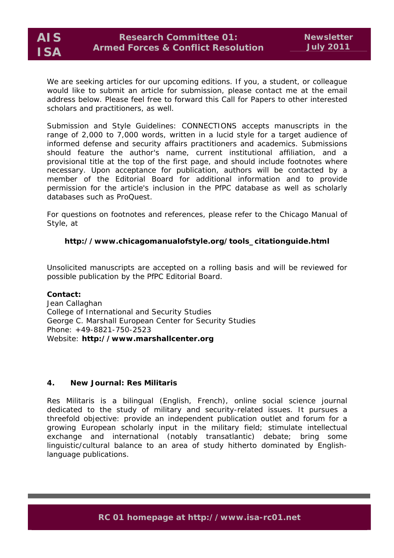We are seeking articles for our upcoming editions. If you, a student, or colleague would like to submit an article for submission, please contact me at the email address below. Please feel free to forward this Call for Papers to other interested scholars and practitioners, as well.

Submission and Style Guidelines: CONNECTIONS accepts manuscripts in the range of 2,000 to 7,000 words, written in a lucid style for a target audience of informed defense and security affairs practitioners and academics. Submissions should feature the author's name, current institutional affiliation, and a provisional title at the top of the first page, and should include footnotes where necessary. Upon acceptance for publication, authors will be contacted by a member of the Editorial Board for additional information and to provide permission for the article's inclusion in the PfPC database as well as scholarly databases such as ProQuest.

For questions on footnotes and references, please refer to the Chicago Manual of Style, at

# **http://www.chicagomanualofstyle.org/tools\_citationguide.html**

Unsolicited manuscripts are accepted on a rolling basis and will be reviewed for possible publication by the PfPC Editorial Board.

**Contact:**  Jean Callaghan College of International and Security Studies George C. Marshall European Center for Security Studies Phone: +49-8821-750-2523 Website: **http://www.marshallcenter.org**

## **4. New Journal:** *Res Militaris*

*Res Militaris* is a bilingual (English, French), online social science journal dedicated to the study of military and security-related issues. It pursues a threefold objective: provide an independent publication outlet and forum for a growing European scholarly input in the military field; stimulate intellectual exchange and international (notably transatlantic) debate; bring some linguistic/cultural balance to an area of study hitherto dominated by Englishlanguage publications.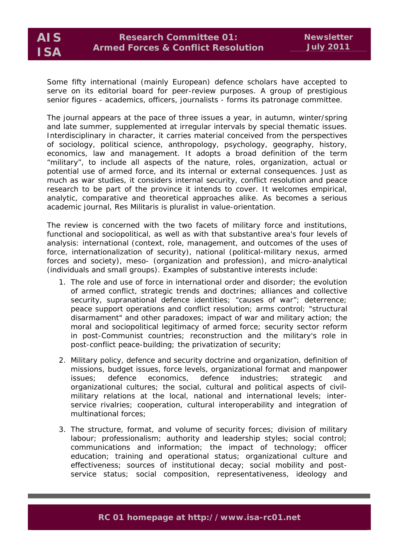Some fifty international (mainly European) defence scholars have accepted to serve on its editorial board for peer-review purposes. A group of prestigious senior figures - academics, officers, journalists - forms its patronage committee.

The journal appears at the pace of three issues a year, in autumn, winter/spring and late summer, supplemented at irregular intervals by special thematic issues. Interdisciplinary in character, it carries material conceived from the perspectives of sociology, political science, anthropology, psychology, geography, history, economics, law and management. It adopts a broad definition of the term "military", to include all aspects of the nature, roles, organization, actual or potential use of armed force, and its internal or external consequences. Just as much as war studies, it considers internal security, conflict resolution and peace research to be part of the province it intends to cover. It welcomes empirical, analytic, comparative and theoretical approaches alike. As becomes a serious academic journal, *Res Militaris* is pluralist in value-orientation.

The review is concerned with the two facets of military force and institutions, functional and *sociopolitical*, as well as with that substantive area's four levels of analysis: *international* (context, role, management, and outcomes of the uses of force, internationalization of security), *national* (political-military nexus, armed forces and society), *meso*- (organization and profession), and *micro-analytical* (individuals and small groups). Examples of substantive interests include:

- 1. The role and use of force in international order and disorder; the evolution of armed conflict, strategic trends and doctrines; alliances and collective security, supranational defence identities; "causes of war"; deterrence; peace support operations and conflict resolution; arms control; "structural disarmament" and other paradoxes; impact of war and military action; the moral and sociopolitical legitimacy of armed force; security sector reform in post-Communist countries; reconstruction and the military's role in post-conflict peace-building; the privatization of security;
- 2. Military policy, defence and security doctrine and organization, definition of missions, budget issues, force levels, organizational format and manpower issues; defence economics, defence industries; strategic and organizational cultures; the social, cultural and political aspects of civilmilitary relations at the local, national and international levels; interservice rivalries; cooperation, cultural interoperability and integration of multinational forces;
- 3. The structure, format, and volume of security forces; division of military labour; professionalism; authority and leadership styles; social control; communications and information; the impact of technology; officer education; training and operational status; organizational culture and effectiveness; sources of institutional decay; social mobility and postservice status; social composition, representativeness, ideology and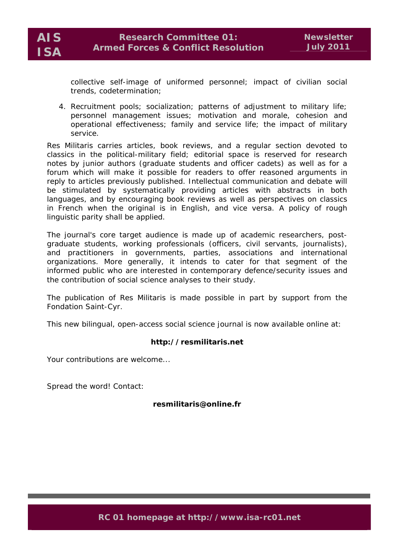collective self-image of uniformed personnel; impact of civilian social trends, codetermination;

4. Recruitment pools; socialization; patterns of adjustment to military life; personnel management issues; motivation and morale, cohesion and operational effectiveness; family and service life; the impact of military service.

*Res Militaris* carries articles, book reviews, and a regular section devoted to classics in the political-military field; editorial space is reserved for research notes by junior authors (graduate students and officer cadets) as well as for a forum which will make it possible for readers to offer reasoned arguments in reply to articles previously published. Intellectual communication and debate will be stimulated by systematically providing articles with abstracts in both languages, and by encouraging book reviews as well as perspectives on classics in French when the original is in English, and vice versa. A policy of rough linguistic parity shall be applied.

The journal's core target audience is made up of academic researchers, postgraduate students, working professionals (officers, civil servants, journalists), and practitioners in governments, parties, associations and international organizations. More generally, it intends to cater for that segment of the informed public who are interested in contemporary defence/security issues and the contribution of social science analyses to their study.

The publication of *Res Militaris* is made possible in part by support from the Fondation Saint-Cyr.

This new bilingual, open-access social science journal is now available online at:

### **http://resmilitaris.net**

Your contributions are welcome...

Spread the word! Contact:

### **resmilitaris@online.fr**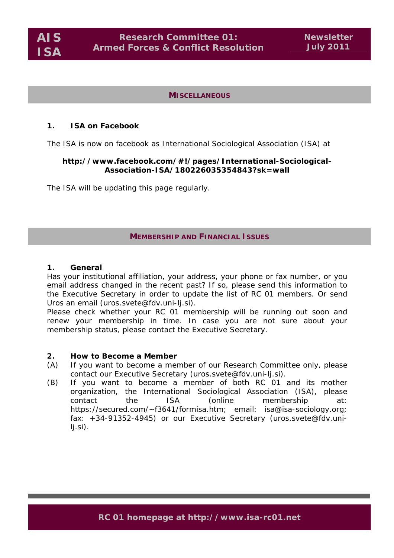**AIS ISA** 

#### **MISCELLANEOUS**

#### **1. ISA on** *Facebook*

The ISA is now on facebook as International Sociological Association (ISA) at

#### **http://www.facebook.com/#!/pages/International-Sociological-Association-ISA/180226035354843?sk=wall**

The ISA will be updating this page regularly.

## **MEMBERSHIP AND FINANCIAL ISSUES**

#### **1. General**

Has your institutional affiliation, your address, your phone or fax number, or you email address changed in the recent past? If so, please send this information to the Executive Secretary in order to update the list of RC 01 members. Or send Uros an email (uros.svete@fdv.uni-lj.si).

Please check whether your RC 01 membership will be running out soon and renew your membership in time. In case you are not sure about your membership status, please contact the Executive Secretary.

#### **2. How to Become a Member**

- (A) If you want to become a member of our Research Committee only, please contact our Executive Secretary (uros.svete@fdv.uni-lj.si).
- (B) If you want to become a member of both RC 01 and its mother organization, the International Sociological Association (ISA), please contact the ISA (online membership at: https://secured.com/~f3641/formisa.htm; email: isa@isa-sociology.org; fax: +34-91352-4945) or our Executive Secretary (uros.svete@fdv.unilj.si).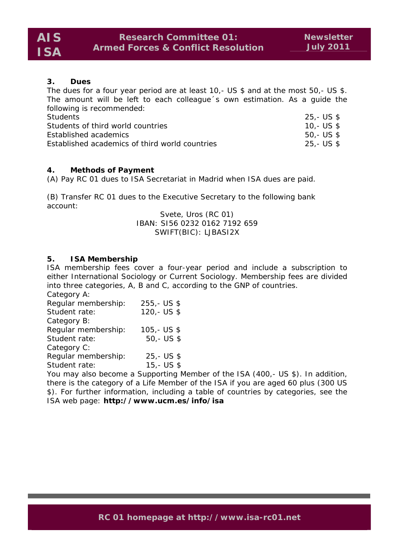# **3. Dues**

The dues for a four year period are at least 10,- US \$ and at the most 50,- US \$. The amount will be left to each colleague´s own estimation. As a guide the following is recommended:

| Students                                       | 25,- US \$ |
|------------------------------------------------|------------|
| Students of third world countries              | 10.- US \$ |
| Established academics                          | 50.- US \$ |
| Established academics of third world countries | 25,- US \$ |

# **4. Methods of Payment**

(A) Pay RC 01 dues to ISA Secretariat in Madrid when ISA dues are paid.

(B) Transfer RC 01 dues to the Executive Secretary to the following bank account:

Svete, Uros (RC 01) IBAN: SI56 0232 0162 7192 659 SWIFT(BIC): LJBASI2X

# **5. ISA Membership**

ISA membership fees cover a four-year period and include a subscription to either *International Sociology* or *Current Sociology*. Membership fees are divided into three categories, A, B and C, according to the GNP of countries. *Category A:* 

| <u>Calcycle</u> <i>VII.</i> |               |
|-----------------------------|---------------|
| Regular membership:         | $255 - US$ \$ |
| Student rate:               | $120 - US $$  |
| Category B:                 |               |
| Regular membership:         | $105 - US $$  |
| Student rate:               | $50 - US $$   |
| Category C:                 |               |
| Regular membership:         | $25 - US $$   |
| Student rate:               | $15,-$ US \$  |
|                             |               |

You may also become a Supporting Member of the ISA (400,- US \$). In addition, there is the category of a Life Member of the ISA if you are aged 60 plus (300 US \$). For further information, including a table of countries by categories, see the ISA web page: **http://www.ucm.es/info/isa**